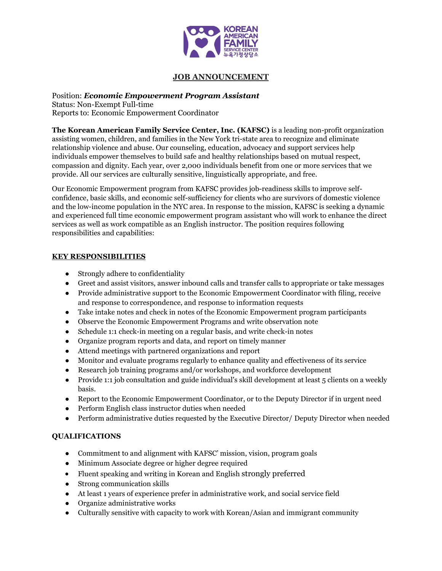

# **JOB ANNOUNCEMENT**

#### Position: *Economic Empowerment Program Assistant* Status: Non-Exempt Full-time Reports to: Economic Empowerment Coordinator

**The Korean American Family Service Center, Inc. (KAFSC)** is a leading non-profit organization assisting women, children, and families in the New York tri-state area to recognize and eliminate relationship violence and abuse. Our counseling, education, advocacy and support services help individuals empower themselves to build safe and healthy relationships based on mutual respect, compassion and dignity. Each year, over 2,000 individuals benefit from one or more services that we provide. All our services are culturally sensitive, linguistically appropriate, and free.

Our Economic Empowerment program from KAFSC provides job-readiness skills to improve selfconfidence, basic skills, and economic self-sufficiency for clients who are survivors of domestic violence and the low-income population in the NYC area. In response to the mission, KAFSC is seeking a dynamic and experienced full time economic empowerment program assistant who will work to enhance the direct services as well as work compatible as an English instructor. The position requires following responsibilities and capabilities:

### **KEY RESPONSIBILITIES**

- Strongly adhere to confidentiality
- Greet and assist visitors, answer inbound calls and transfer calls to appropriate or take messages
- Provide administrative support to the Economic Empowerment Coordinator with filing, receive and response to correspondence, and response to information requests
- Take intake notes and check in notes of the Economic Empowerment program participants
- Observe the Economic Empowerment Programs and write observation note
- Schedule 1:1 check-in meeting on a regular basis, and write check-in notes
- Organize program reports and data, and report on timely manner
- Attend meetings with partnered organizations and report
- Monitor and evaluate programs regularly to enhance quality and effectiveness of its service
- Research job training programs and/or workshops, and workforce development
- Provide 1:1 job consultation and guide individual's skill development at least 5 clients on a weekly basis.
- Report to the Economic Empowerment Coordinator, or to the Deputy Director if in urgent need
- Perform English class instructor duties when needed
- Perform administrative duties requested by the Executive Director/ Deputy Director when needed

### **QUALIFICATIONS**

- Commitment to and alignment with KAFSC' mission, vision, program goals
- Minimum Associate degree or higher degree required
- Fluent speaking and writing in Korean and English strongly preferred
- Strong communication skills
- At least 1 years of experience prefer in administrative work, and social service field
- Organize administrative works
- Culturally sensitive with capacity to work with Korean/Asian and immigrant community